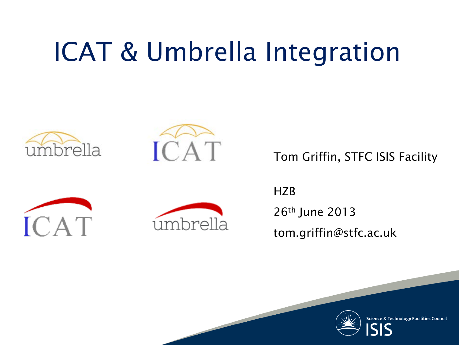### ICAT & Umbrella Integration





Tom Griffin, STFC ISIS Facility





HZB 26th June 2013 tom.griffin@stfc.ac.uk



**Science & Technology Facilities Council**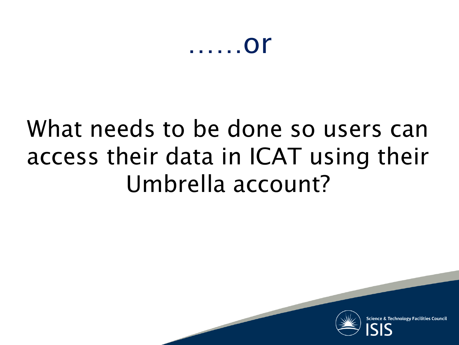### ……or

### What needs to be done so users can access their data in ICAT using their Umbrella account?



**Technology Facilities Counci**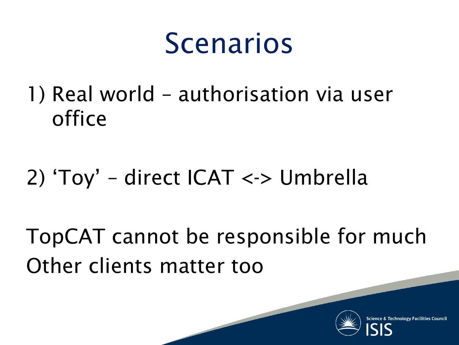## Scenarios

1) Real world – authorisation via user office

### 2) 'Toy' – direct ICAT <-> Umbrella

TopCAT cannot be responsible for much Other clients matter too

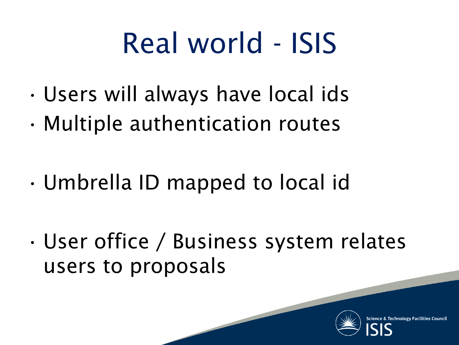## Real world - ISIS

- Users will always have local ids
- Multiple authentication routes
- Umbrella ID mapped to local id
- User office / Business system relates users to proposals

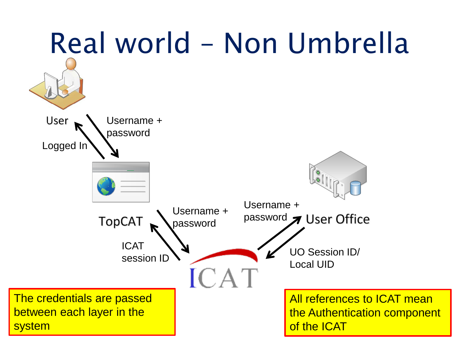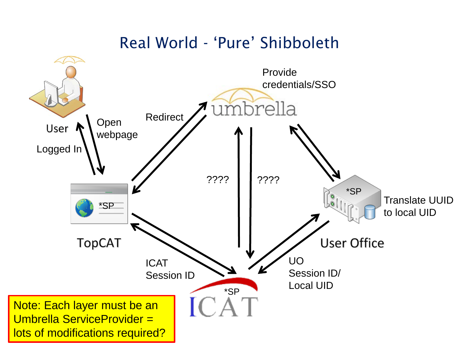#### Real World - 'Pure' Shibboleth

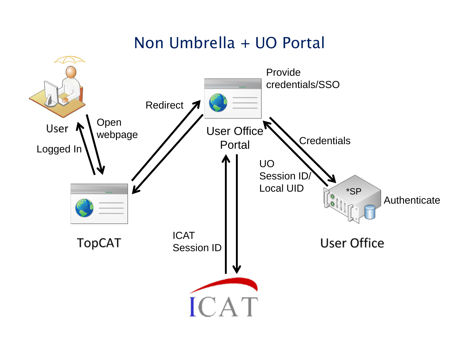#### Non Umbrella + UO Portal

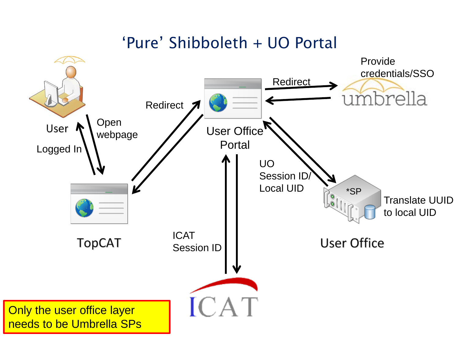#### 'Pure' Shibboleth + UO Portal

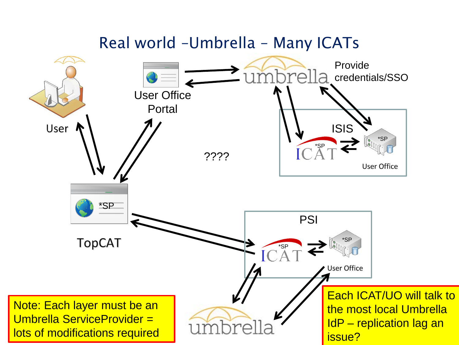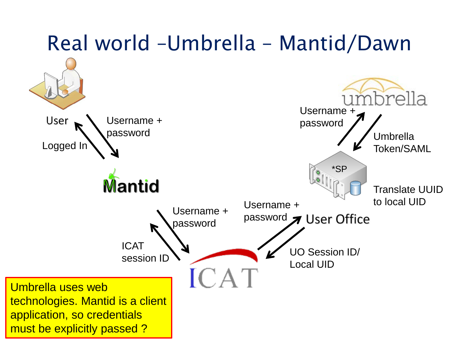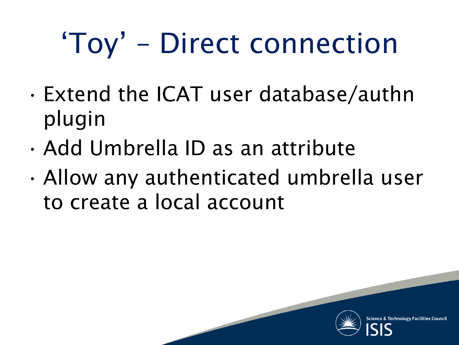# 'Toy' – Direct connection

- Extend the ICAT user database/authn plugin
- Add Umbrella ID as an attribute
- Allow any authenticated umbrella user to create a local account

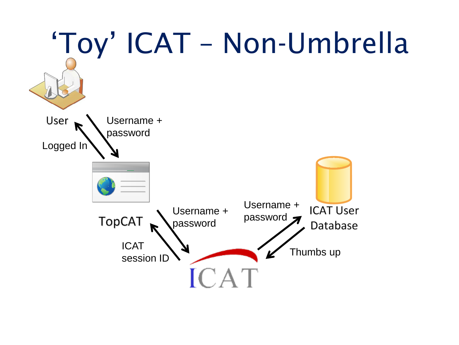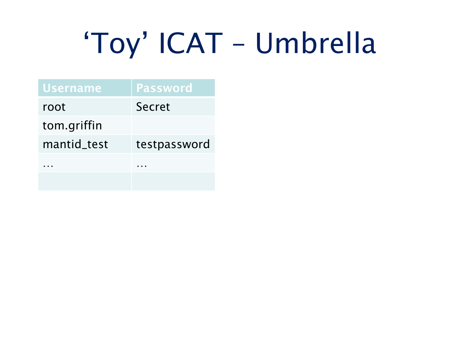# 'Toy' ICAT – Umbrella

| <b>Username</b> | <b>Password</b> |
|-----------------|-----------------|
| root            | Secret          |
| tom.griffin     |                 |
| mantid_test     | testpassword    |
| .               | .               |
|                 |                 |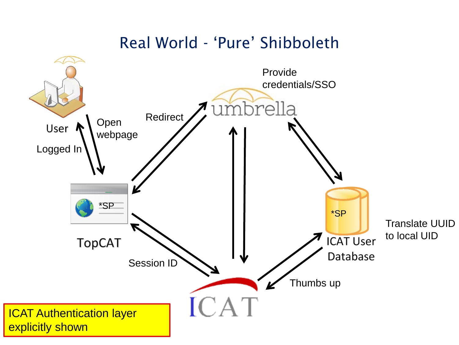#### Real World - 'Pure' Shibboleth